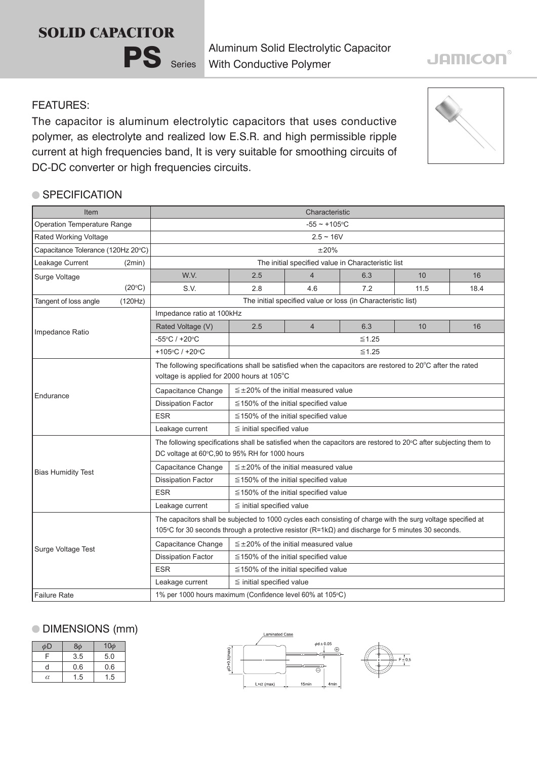# **SOLID CAPACITOR**



Aluminum Solid Electrolytic Capacitor With Conductive Polymer

#### FEATURES:

The capacitor is aluminum electrolytic capacitors that uses conductive polymer, as electrolyte and realized low E.S.R. and high permissible ripple current at high frequencies band, It is very suitable for smoothing circuits of DC-DC converter or high frequencies circuits.

### ● SPECIFICATION

| Item                               |                                                           | Characteristic                                                                                                                                                                                                             |                                                              |                |     |      |      |  |
|------------------------------------|-----------------------------------------------------------|----------------------------------------------------------------------------------------------------------------------------------------------------------------------------------------------------------------------------|--------------------------------------------------------------|----------------|-----|------|------|--|
| Operation Temperature Range        |                                                           | $-55 - +105$ °C                                                                                                                                                                                                            |                                                              |                |     |      |      |  |
| Rated Working Voltage              |                                                           | $2.5 \sim 16V$                                                                                                                                                                                                             |                                                              |                |     |      |      |  |
| Capacitance Tolerance (120Hz 20°C) |                                                           | ±20%                                                                                                                                                                                                                       |                                                              |                |     |      |      |  |
| Leakage Current                    | (2min)                                                    | The initial specified value in Characteristic list                                                                                                                                                                         |                                                              |                |     |      |      |  |
| Surge Voltage                      |                                                           | W.V.                                                                                                                                                                                                                       | 2.5                                                          | $\overline{4}$ | 6.3 | 10   | 16   |  |
|                                    | (20°C)                                                    | S.V.                                                                                                                                                                                                                       | 2.8                                                          | 4.6            | 7.2 | 11.5 | 18.4 |  |
| Tangent of loss angle              | (120Hz)                                                   |                                                                                                                                                                                                                            | The initial specified value or loss (in Characteristic list) |                |     |      |      |  |
| Impedance Ratio                    |                                                           | Impedance ratio at 100kHz                                                                                                                                                                                                  |                                                              |                |     |      |      |  |
|                                    |                                                           | Rated Voltage (V)                                                                                                                                                                                                          | 2.5                                                          | $\overline{4}$ | 6.3 | 10   | 16   |  |
|                                    |                                                           | -55°C / +20°C                                                                                                                                                                                                              | $≤1.25$                                                      |                |     |      |      |  |
|                                    |                                                           | +105°C / +20°C                                                                                                                                                                                                             | $≤1.25$                                                      |                |     |      |      |  |
|                                    |                                                           | The following specifications shall be satisfied when the capacitors are restored to 20°C after the rated<br>voltage is applied for 2000 hours at 105°C                                                                     |                                                              |                |     |      |      |  |
|                                    |                                                           | Capacitance Change                                                                                                                                                                                                         | $\leq$ ±20% of the initial measured value                    |                |     |      |      |  |
| Endurance                          |                                                           | <b>Dissipation Factor</b>                                                                                                                                                                                                  | $\leq$ 150% of the initial specified value                   |                |     |      |      |  |
|                                    |                                                           | <b>ESR</b>                                                                                                                                                                                                                 | $\leq$ 150% of the initial specified value                   |                |     |      |      |  |
|                                    |                                                           | Leakage current                                                                                                                                                                                                            | $\leq$ initial specified value                               |                |     |      |      |  |
|                                    |                                                           | The following specifications shall be satisfied when the capacitors are restored to 20°C after subjecting them to<br>DC voltage at 60°C,90 to 95% RH for 1000 hours                                                        |                                                              |                |     |      |      |  |
|                                    |                                                           | Capacitance Change                                                                                                                                                                                                         | $\leq$ ±20% of the initial measured value                    |                |     |      |      |  |
| <b>Bias Humidity Test</b>          |                                                           | <b>Dissipation Factor</b>                                                                                                                                                                                                  | $\leq$ 150% of the initial specified value                   |                |     |      |      |  |
|                                    |                                                           | <b>ESR</b>                                                                                                                                                                                                                 | $\leq$ 150% of the initial specified value                   |                |     |      |      |  |
|                                    |                                                           | Leakage current                                                                                                                                                                                                            | $\leq$ initial specified value                               |                |     |      |      |  |
| Surge Voltage Test                 |                                                           | The capacitors shall be subjected to 1000 cycles each consisting of charge with the surg voltage specified at<br>105°C for 30 seconds through a protective resistor $(R=1k\Omega)$ and discharge for 5 minutes 30 seconds. |                                                              |                |     |      |      |  |
|                                    |                                                           | Capacitance Change                                                                                                                                                                                                         | $\leq \pm 20\%$ of the initial measured value                |                |     |      |      |  |
|                                    |                                                           | <b>Dissipation Factor</b>                                                                                                                                                                                                  | $\leq$ 150% of the initial specified value                   |                |     |      |      |  |
|                                    |                                                           | <b>ESR</b>                                                                                                                                                                                                                 | $\leq$ 150% of the initial specified value                   |                |     |      |      |  |
|                                    |                                                           | Leakage current                                                                                                                                                                                                            | $\leq$ initial specified value                               |                |     |      |      |  |
| <b>Failure Rate</b>                | 1% per 1000 hours maximum (Confidence level 60% at 105°C) |                                                                                                                                                                                                                            |                                                              |                |     |      |      |  |

## DIMENSIONS (mm)

| $\phi$ D | 8φ  | $10\phi$ |
|----------|-----|----------|
| F        | 3.5 | 5.0      |
| d        | 0.6 | 0.6      |
| α        | 1.5 | 1.5      |